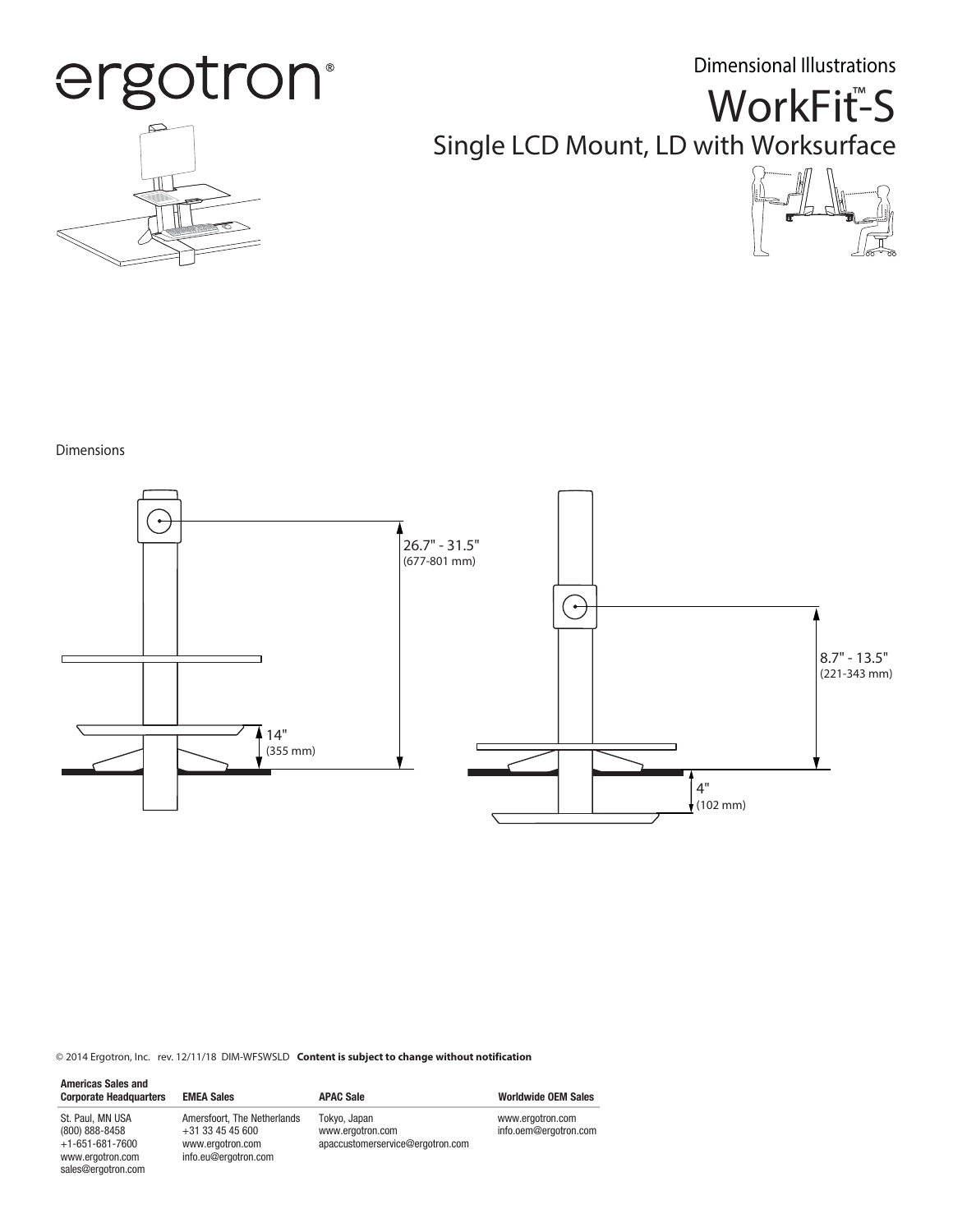Dimensional Illustrations



## WorkFit<sup>™</sup>S Single LCD Mount, LD with Worksurface



#### Dimensions

sales@ergotron.com



© 2014 Ergotron, Inc. rev. 12/11/18 DIM-WFSWSLD **Content is subject to change without notification**

| <b>Americas Sales and</b><br><b>Corporate Headquarters</b>                  | <b>EMEA Sales</b>                                                                             | <b>APAC Sale</b>                                                     | <b>Worldwide OEM Sales</b>                |
|-----------------------------------------------------------------------------|-----------------------------------------------------------------------------------------------|----------------------------------------------------------------------|-------------------------------------------|
| St. Paul. MN USA<br>(800) 888-8458<br>$+1-651-681-7600$<br>www.ergotron.com | Amersfoort. The Netherlands<br>$+31$ 33 45 45 600<br>www.ergotron.com<br>info.eu@ergotron.com | Tokyo, Japan<br>www.ergotron.com<br>apaccustomerservice@ergotron.com | www.ergotron.com<br>info.oem@ergotron.com |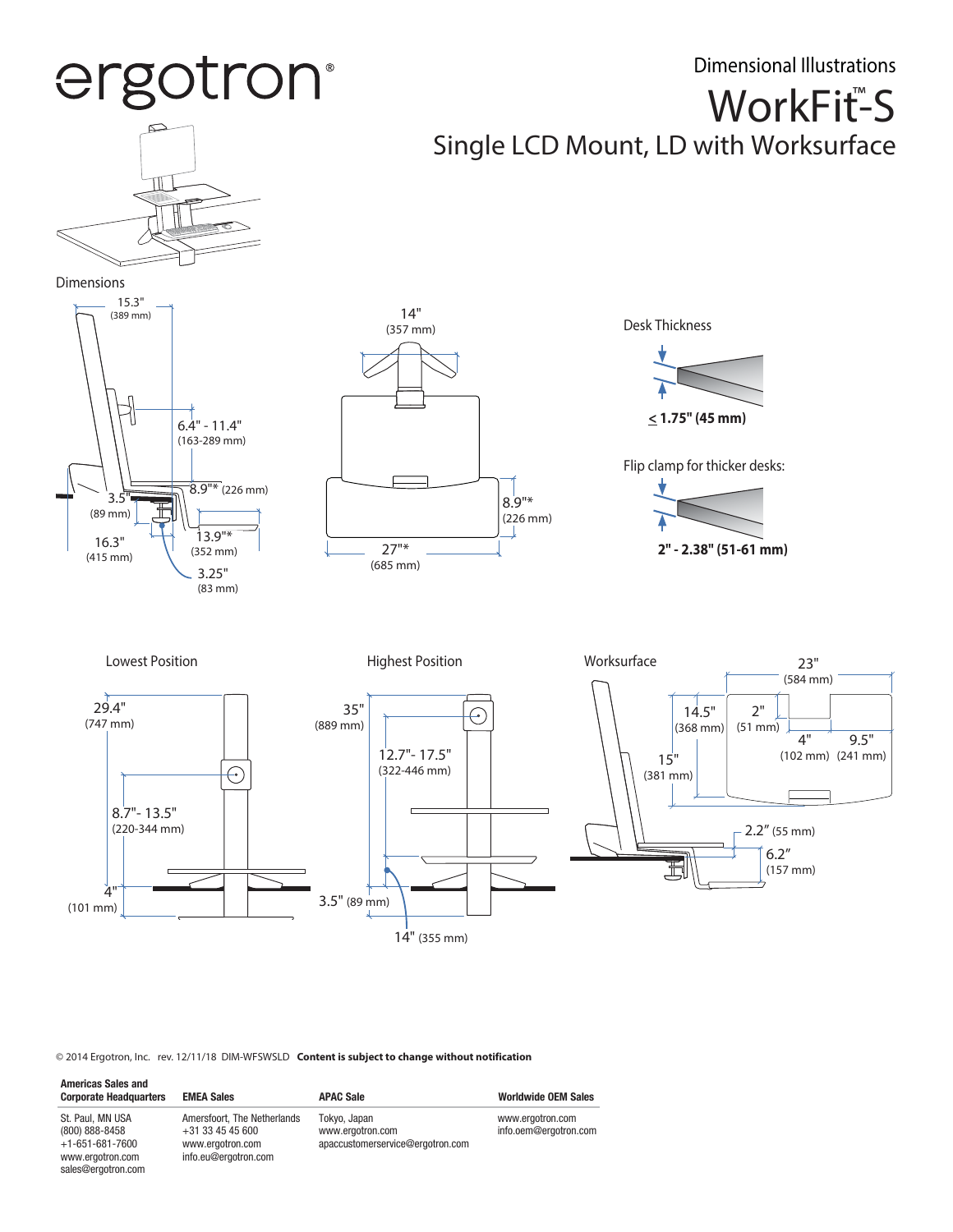

© 2014 Ergotron, Inc. rev. 12/11/18 DIM-WFSWSLD **Content is subject to change without notification**

sales@ergotron.com

4" (101 mm)

| <b>Americas Sales and</b><br><b>Corporate Headquarters</b>                  | <b>EMEA Sales</b>                                                                           | <b>APAC Sale</b>                                                     | <b>Worldwide OEM Sales</b>                |
|-----------------------------------------------------------------------------|---------------------------------------------------------------------------------------------|----------------------------------------------------------------------|-------------------------------------------|
| St. Paul. MN USA<br>(800) 888-8458<br>$+1-651-681-7600$<br>www.ergotron.com | Amersfoort. The Netherlands<br>+31 33 45 45 600<br>www.ergotron.com<br>info.eu@ergotron.com | Tokyo, Japan<br>www.ergotron.com<br>apaccustomerservice@ergotron.com | www.ergotron.com<br>info.oem@ergotron.com |

3.5" (89 mm)

14" (355 mm)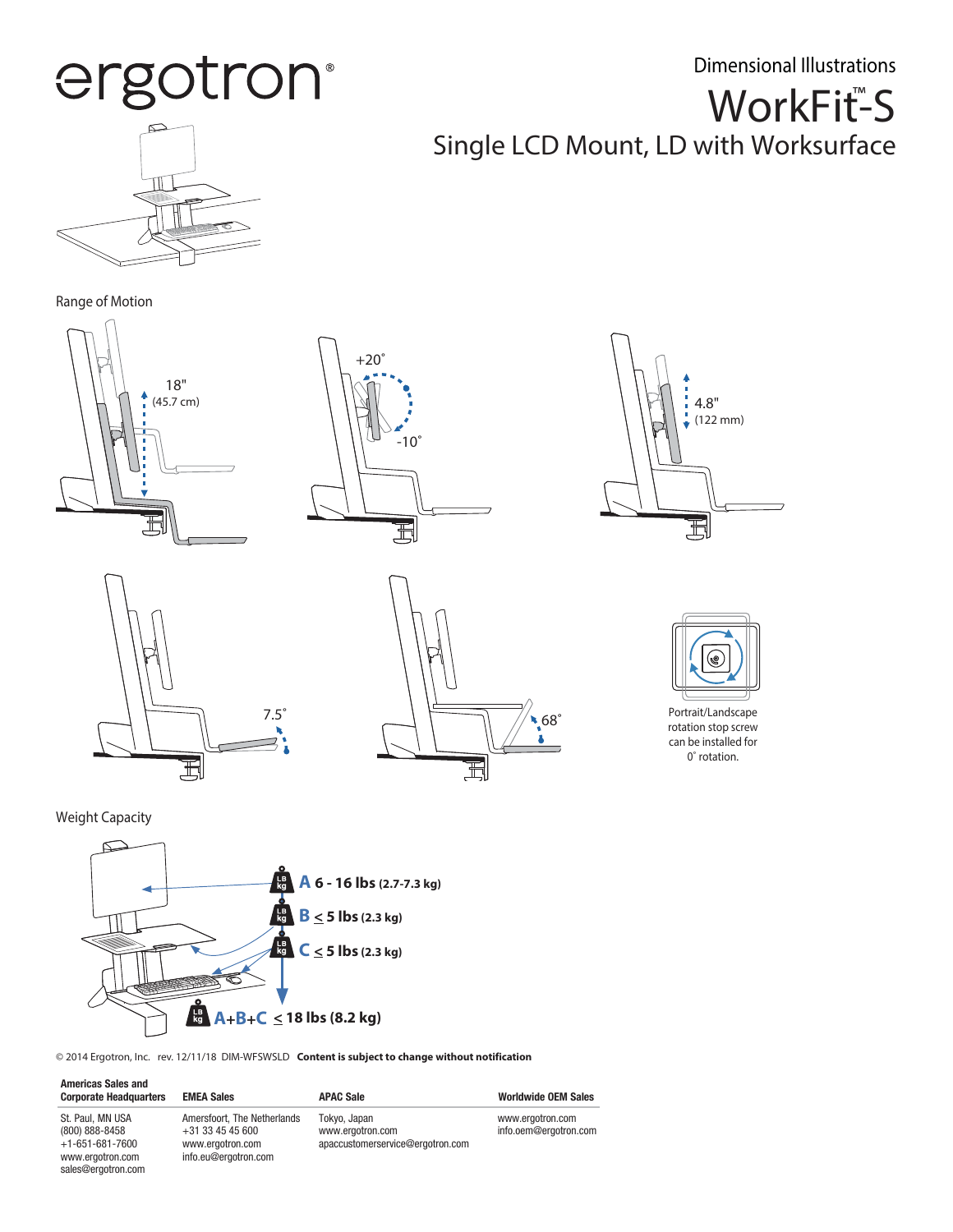ergotron®

## WorkFit<sup>™</sup>S Single LCD Mount, LD with Worksurface Dimensional Illustrations



### Range of Motion













rotation stop screw can be installed for 0˚ rotation.

Weight Capacity

www.ergotron.com sales@ergotron.com



info.eu@ergotron.com

© 2014 Ergotron, Inc. rev. 12/11/18 DIM-WFSWSLD **Content is subject to change without notification**

| <b>Americas Sales and</b><br><b>Corporate Headquarters</b> | <b>EMEA Sales</b>                                 | <b>APAC Sale</b>                 | <b>Worldwide OEM Sales</b>                |
|------------------------------------------------------------|---------------------------------------------------|----------------------------------|-------------------------------------------|
| St. Paul. MN USA<br>(800) 888-8458                         | Amersfoort. The Netherlands<br>$+31$ 33 45 45 600 | Tokvo, Japan<br>www.ergotron.com | www.ergotron.com<br>info.oem@ergotron.com |
| $+1-651-681-7600$                                          | www.ergotron.com                                  | apaccustomerservice@ergotron.com |                                           |